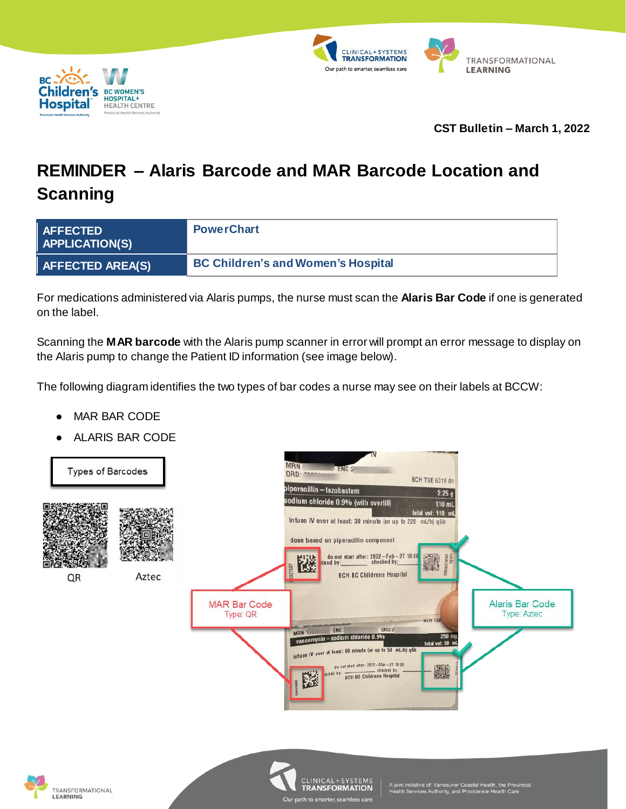



## **CST Bulletin – March 1, 2022**

## **REMINDER – Alaris Barcode and MAR Barcode Location and Scanning**

| AFFECTED<br>APPLICATION(S)   | <b>PowerChart</b>                         |
|------------------------------|-------------------------------------------|
| $\parallel$ AFFECTED AREA(S) | <b>BC Children's and Women's Hospital</b> |

For medications administered via Alaris pumps, the nurse must scan the **Alaris Bar Code** if one is generated on the label.

Scanning the **MAR barcode** with the Alaris pump scanner in error will prompt an error message to display on the Alaris pump to change the Patient ID information (see image below).

The following diagram identifies the two types of bar codes a nurse may see on their labels at BCCW:

- **MAR BAR CODE**
- **ALARIS BAR CODE**



Our path to smarter seaml

ss care